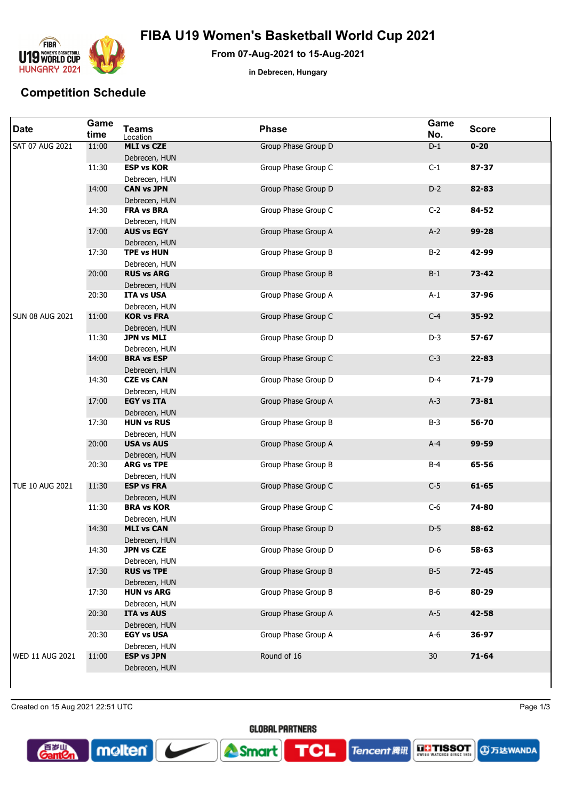

## **FIBA U19 Women's Basketball World Cup 2021**

**From 07-Aug-2021 to 15-Aug-2021**

**in Debrecen, Hungary**

## **Competition Schedule**

| <b>Date</b>            | Game<br>time | <b>Teams</b><br>Location           | <b>Phase</b>        | Game<br>No. | <b>Score</b> |
|------------------------|--------------|------------------------------------|---------------------|-------------|--------------|
| <b>SAT 07 AUG 2021</b> | 11:00        | <b>MLI vs CZE</b><br>Debrecen, HUN | Group Phase Group D | $D-1$       | $0 - 20$     |
|                        | 11:30        | <b>ESP vs KOR</b><br>Debrecen, HUN | Group Phase Group C | $C-1$       | 87-37        |
|                        | 14:00        | <b>CAN vs JPN</b><br>Debrecen, HUN | Group Phase Group D | $D-2$       | 82-83        |
|                        | 14:30        | <b>FRA vs BRA</b><br>Debrecen, HUN | Group Phase Group C | $C-2$       | 84-52        |
|                        | 17:00        | <b>AUS vs EGY</b><br>Debrecen, HUN | Group Phase Group A | $A-2$       | 99-28        |
|                        | 17:30        | <b>TPE vs HUN</b><br>Debrecen, HUN | Group Phase Group B | $B-2$       | 42-99        |
|                        | 20:00        | <b>RUS vs ARG</b><br>Debrecen, HUN | Group Phase Group B | $B-1$       | $73 - 42$    |
|                        | 20:30        | <b>ITA vs USA</b><br>Debrecen, HUN | Group Phase Group A | $A-1$       | 37-96        |
| <b>SUN 08 AUG 2021</b> | 11:00        | <b>KOR vs FRA</b><br>Debrecen, HUN | Group Phase Group C | $C-4$       | 35-92        |
|                        | 11:30        | <b>JPN vs MLI</b><br>Debrecen, HUN | Group Phase Group D | $D-3$       | 57-67        |
|                        | 14:00        | <b>BRA vs ESP</b><br>Debrecen, HUN | Group Phase Group C | $C-3$       | 22-83        |
|                        | 14:30        | <b>CZE vs CAN</b><br>Debrecen, HUN | Group Phase Group D | $D-4$       | 71-79        |
|                        | 17:00        | <b>EGY vs ITA</b><br>Debrecen, HUN | Group Phase Group A | $A-3$       | $73 - 81$    |
|                        | 17:30        | <b>HUN vs RUS</b><br>Debrecen, HUN | Group Phase Group B | $B-3$       | 56-70        |
|                        | 20:00        | <b>USA vs AUS</b><br>Debrecen, HUN | Group Phase Group A | $A-4$       | 99-59        |
|                        | 20:30        | <b>ARG vs TPE</b><br>Debrecen, HUN | Group Phase Group B | $B-4$       | 65-56        |
| <b>TUE 10 AUG 2021</b> | 11:30        | <b>ESP vs FRA</b><br>Debrecen, HUN | Group Phase Group C | $C-5$       | 61-65        |
|                        | 11:30        | <b>BRA vs KOR</b><br>Debrecen, HUN | Group Phase Group C | $C-6$       | 74-80        |
|                        | 14:30        | <b>MLI vs CAN</b><br>Debrecen, HUN | Group Phase Group D | $D-5$       | 88-62        |
|                        | 14:30        | <b>JPN vs CZE</b><br>Debrecen, HUN | Group Phase Group D | D-6         | 58-63        |
|                        | 17:30        | <b>RUS vs TPE</b><br>Debrecen, HUN | Group Phase Group B | $B-5$       | $72 - 45$    |
|                        | 17:30        | <b>HUN vs ARG</b><br>Debrecen, HUN | Group Phase Group B | $B-6$       | 80-29        |
|                        | 20:30        | <b>ITA vs AUS</b><br>Debrecen, HUN | Group Phase Group A | $A-5$       | 42-58        |
|                        | 20:30        | <b>EGY vs USA</b><br>Debrecen, HUN | Group Phase Group A | $A-6$       | 36-97        |
| WED 11 AUG 2021        | 11:00        | <b>ESP vs JPN</b><br>Debrecen, HUN | Round of 16         | 30          | $71 - 64$    |
|                        |              |                                    |                     |             |              |

Created on 15 Aug 2021 22:51 UTC Page 1/3

molten



**TCL** 

Smart

**EL'ISSOT**<br>90155 MATGES SINCE 159 **Tencent 腾讯** 

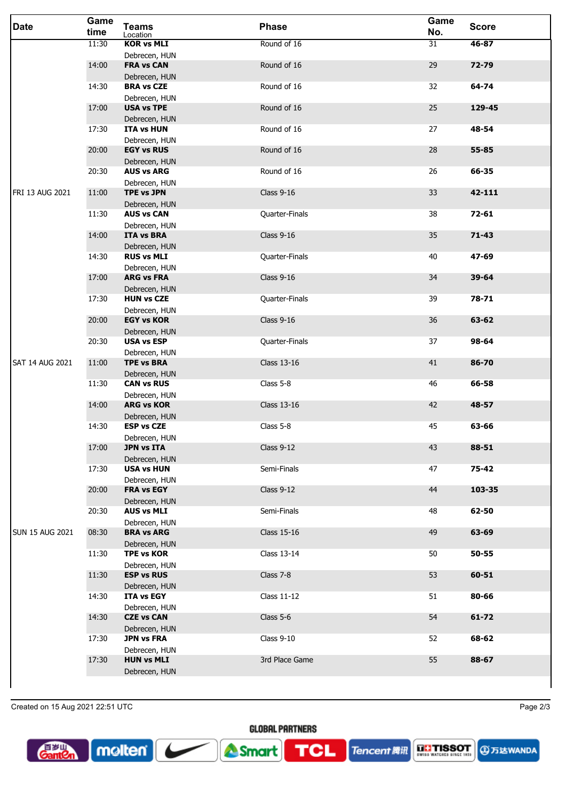| <b>Date</b>            | Game<br>time | <b>Teams</b><br>Location           | <b>Phase</b>       | Game<br>No. | <b>Score</b> |
|------------------------|--------------|------------------------------------|--------------------|-------------|--------------|
|                        | 11:30        | <b>KOR vs MLI</b>                  | Round of 16        | 31          | 46-87        |
|                        | 14:00        | Debrecen, HUN<br><b>FRA vs CAN</b> | Round of 16        | 29          | $72 - 79$    |
|                        | 14:30        | Debrecen, HUN<br><b>BRA vs CZE</b> | Round of 16        | 32          | 64-74        |
|                        |              | Debrecen, HUN                      |                    |             |              |
|                        | 17:00        | <b>USA vs TPE</b><br>Debrecen, HUN | Round of 16        | 25          | 129-45       |
|                        | 17:30        | <b>ITA vs HUN</b>                  | Round of 16        | 27          | 48-54        |
|                        | 20:00        | Debrecen, HUN<br><b>EGY vs RUS</b> | Round of 16        | 28          | 55-85        |
|                        |              | Debrecen, HUN                      |                    |             |              |
|                        | 20:30        | <b>AUS vs ARG</b><br>Debrecen, HUN | Round of 16        | 26          | 66-35        |
| FRI 13 AUG 2021        | 11:00        | <b>TPE vs JPN</b>                  | <b>Class 9-16</b>  | 33          | 42-111       |
|                        | 11:30        | Debrecen, HUN<br><b>AUS vs CAN</b> | Quarter-Finals     | 38          | 72-61        |
|                        |              | Debrecen, HUN                      |                    |             |              |
|                        | 14:00        | <b>ITA vs BRA</b><br>Debrecen, HUN | <b>Class 9-16</b>  | 35          | $71 - 43$    |
|                        | 14:30        | <b>RUS vs MLI</b>                  | Quarter-Finals     | 40          | 47-69        |
|                        | 17:00        | Debrecen, HUN<br><b>ARG vs FRA</b> | <b>Class 9-16</b>  | 34          | 39-64        |
|                        |              | Debrecen, HUN                      |                    |             |              |
|                        | 17:30        | <b>HUN vs CZE</b><br>Debrecen, HUN | Quarter-Finals     | 39          | 78-71        |
|                        | 20:00        | <b>EGY vs KOR</b>                  | <b>Class 9-16</b>  | 36          | 63-62        |
|                        | 20:30        | Debrecen, HUN<br><b>USA vs ESP</b> | Quarter-Finals     | 37          | 98-64        |
| <b>SAT 14 AUG 2021</b> | 11:00        | Debrecen, HUN<br><b>TPE vs BRA</b> | <b>Class 13-16</b> | 41          | 86-70        |
|                        |              | Debrecen, HUN                      |                    |             |              |
|                        | 11:30        | <b>CAN vs RUS</b><br>Debrecen, HUN | Class 5-8          | 46          | 66-58        |
|                        | 14:00        | <b>ARG vs KOR</b>                  | <b>Class 13-16</b> | 42          | 48-57        |
|                        | 14:30        | Debrecen, HUN<br><b>ESP vs CZE</b> | Class 5-8          | 45          | 63-66        |
|                        |              | Debrecen, HUN                      |                    |             |              |
|                        | 17:00        | <b>JPN vs ITA</b><br>Debrecen, HUN | Class $9-12$       | 43          | 88-51        |
|                        | 17:30        | <b>USA vs HUN</b>                  | Semi-Finals        | 47          | 75-42        |
|                        | 20:00        | Debrecen, HUN<br><b>FRA vs EGY</b> | Class $9-12$       | 44          | 103-35       |
|                        |              | Debrecen, HUN                      |                    |             |              |
|                        | 20:30        | <b>AUS vs MLI</b><br>Debrecen, HUN | Semi-Finals        | 48          | 62-50        |
| <b>SUN 15 AUG 2021</b> | 08:30        | <b>BRA vs ARG</b>                  | Class 15-16        | 49          | 63-69        |
|                        | 11:30        | Debrecen, HUN<br><b>TPE vs KOR</b> | Class 13-14        | 50          | $50 - 55$    |
|                        |              | Debrecen, HUN                      |                    |             |              |
|                        | 11:30        | <b>ESP vs RUS</b><br>Debrecen, HUN | Class 7-8          | 53          | 60-51        |
|                        | 14:30        | ITA vs EGY                         | Class 11-12        | 51          | 80-66        |
|                        | 14:30        | Debrecen, HUN<br><b>CZE vs CAN</b> | Class 5-6          | 54          | $61 - 72$    |
|                        | 17:30        | Debrecen, HUN<br><b>JPN vs FRA</b> | Class $9-10$       | 52          | 68-62        |
|                        |              | Debrecen, HUN                      |                    |             |              |
|                        | 17:30        | <b>HUN vs MLI</b><br>Debrecen, HUN | 3rd Place Game     | 55          | 88-67        |
|                        |              |                                    |                    |             |              |

Created on 15 Aug 2021 22:51 UTC Page 2/3

molten



Tencent 腾讯



**GLOBAL PARTNERS** 

**TCL** 

Smart